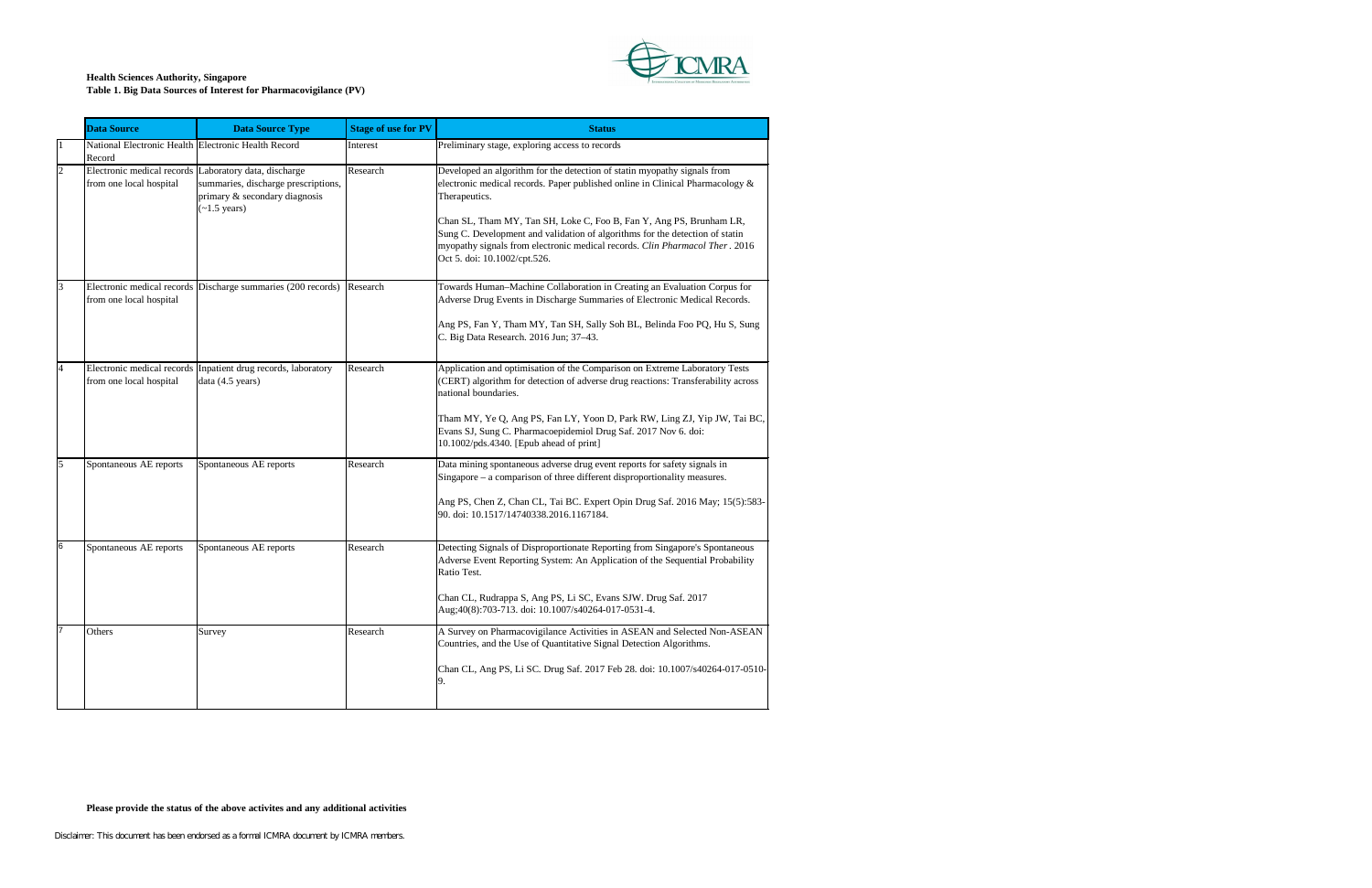

|                | <b>Data Source</b>                                            | <b>Data Source Type</b>                                                                                                                                 | <b>Stage of use for PV</b> | <b>Status</b>                                                                                                                                                                                                                                                                                                                                                                                                                                    |
|----------------|---------------------------------------------------------------|---------------------------------------------------------------------------------------------------------------------------------------------------------|----------------------------|--------------------------------------------------------------------------------------------------------------------------------------------------------------------------------------------------------------------------------------------------------------------------------------------------------------------------------------------------------------------------------------------------------------------------------------------------|
|                | National Electronic Health Electronic Health Record<br>Record |                                                                                                                                                         | Interest                   | Preliminary stage, exploring access to records                                                                                                                                                                                                                                                                                                                                                                                                   |
| $\overline{2}$ | from one local hospital                                       | Electronic medical records Laboratory data, discharge<br>summaries, discharge prescriptions,<br>primary & secondary diagnosis<br>$(-1.5 \text{ years})$ | Research                   | Developed an algorithm for the detection of statin myopathy signals from<br>electronic medical records. Paper published online in Clinical Pharmacology &<br>Therapeutics.<br>Chan SL, Tham MY, Tan SH, Loke C, Foo B, Fan Y, Ang PS, Brunham LR,<br>Sung C. Development and validation of algorithms for the detection of statin<br>myopathy signals from electronic medical records. Clin Pharmacol Ther. 2016<br>Oct 5. doi: 10.1002/cpt.526. |
| 3              | from one local hospital                                       | Electronic medical records Discharge summaries (200 records)                                                                                            | Research                   | Towards Human-Machine Collaboration in Creating an Evaluation Corpus for<br>Adverse Drug Events in Discharge Summaries of Electronic Medical Records.<br>Ang PS, Fan Y, Tham MY, Tan SH, Sally Soh BL, Belinda Foo PQ, Hu S, Sung<br>C. Big Data Research. 2016 Jun; 37-43.                                                                                                                                                                      |
| $\overline{4}$ | from one local hospital                                       | Electronic medical records Inpatient drug records, laboratory<br>data $(4.5 \text{ years})$                                                             | Research                   | Application and optimisation of the Comparison on Extreme Laboratory Tests<br>(CERT) algorithm for detection of adverse drug reactions: Transferability across<br>national boundaries.<br>Tham MY, Ye Q, Ang PS, Fan LY, Yoon D, Park RW, Ling ZJ, Yip JW, Tai BC,<br>Evans SJ, Sung C. Pharmacoepidemiol Drug Saf. 2017 Nov 6. doi:<br>$10.1002/\text{pds}.4340$ . [Epub ahead of print]                                                        |
| 5              | Spontaneous AE reports                                        | Spontaneous AE reports                                                                                                                                  | Research                   | Data mining spontaneous adverse drug event reports for safety signals in<br>Singapore – a comparison of three different disproportionality measures.<br>Ang PS, Chen Z, Chan CL, Tai BC. Expert Opin Drug Saf. 2016 May; 15(5):583-<br>90. doi: 10.1517/14740338.2016.1167184.                                                                                                                                                                   |
| 6              | Spontaneous AE reports                                        | Spontaneous AE reports                                                                                                                                  | Research                   | Detecting Signals of Disproportionate Reporting from Singapore's Spontaneous<br>Adverse Event Reporting System: An Application of the Sequential Probability<br>Ratio Test.<br>Chan CL, Rudrappa S, Ang PS, Li SC, Evans SJW. Drug Saf. 2017<br>Aug;40(8):703-713. doi: 10.1007/s40264-017-0531-4.                                                                                                                                               |
|                | Others                                                        | Survey                                                                                                                                                  | Research                   | A Survey on Pharmacovigilance Activities in ASEAN and Selected Non-ASEAN<br>Countries, and the Use of Quantitative Signal Detection Algorithms.<br>Chan CL, Ang PS, Li SC. Drug Saf. 2017 Feb 28. doi: 10.1007/s40264-017-0510-<br>9.                                                                                                                                                                                                            |

| ١                         |  |
|---------------------------|--|
| ί,<br>$\mathbf{a}$<br>016 |  |
| for<br>$\overline{1}$ s.  |  |
| Sung                      |  |
| sts<br><b>cross</b>       |  |
| ai BC,                    |  |
| $): 583-$                 |  |
| ous<br>lity               |  |
| E<br>$\rm \bar{N}$        |  |
| $-0510-$                  |  |
|                           |  |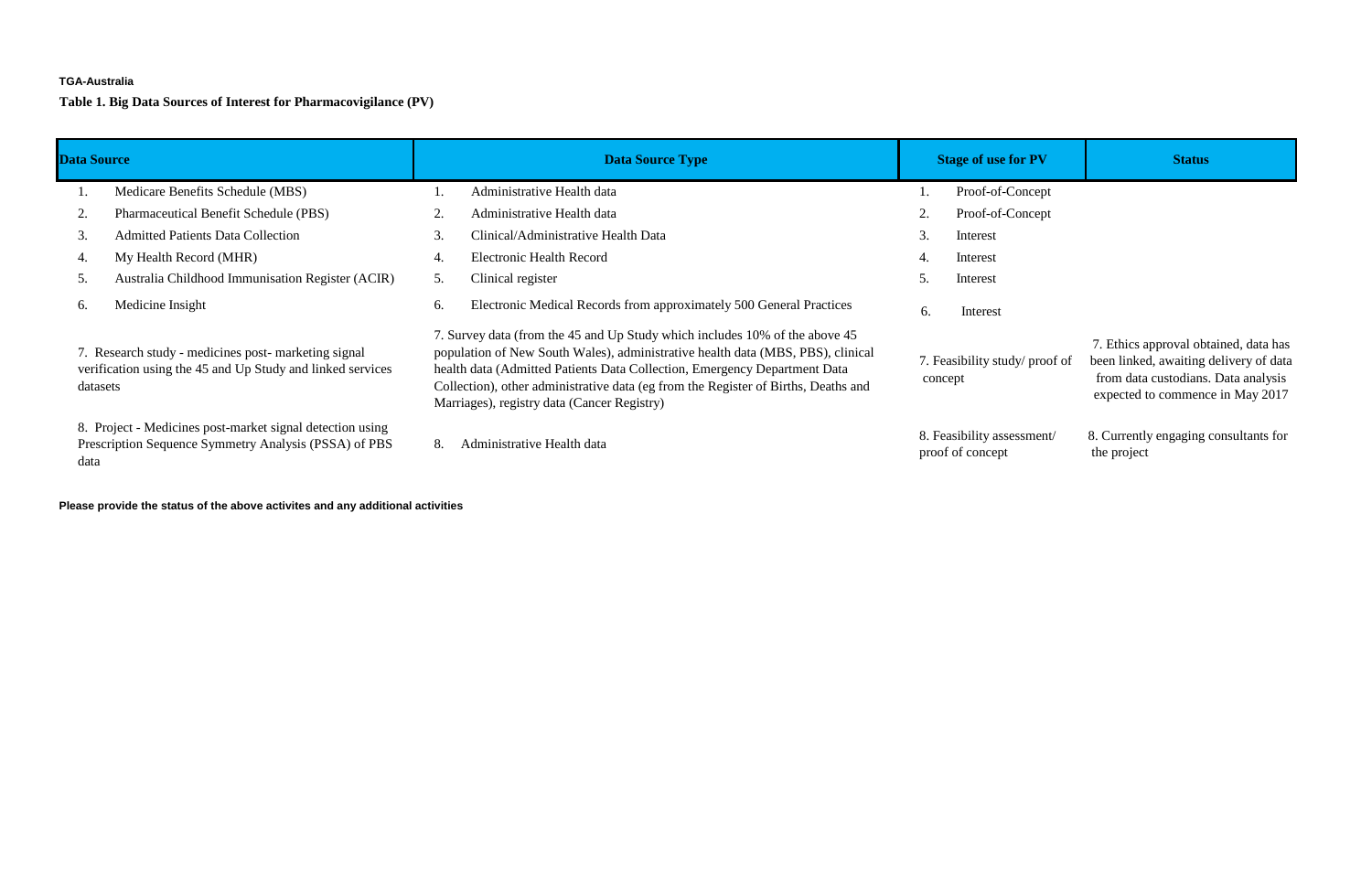### **TGA-Australia**

**Table 1. Big Data Sources of Interest for Pharmacovigilance (PV)**

| <b>Data Source</b>                                                                                                             | <b>Data Source Type</b>                                                                                                                                                                                                                                                                                                                                                          | <b>Stage of use for PV</b>                     | <b>Status</b>                                                                                                                                              |
|--------------------------------------------------------------------------------------------------------------------------------|----------------------------------------------------------------------------------------------------------------------------------------------------------------------------------------------------------------------------------------------------------------------------------------------------------------------------------------------------------------------------------|------------------------------------------------|------------------------------------------------------------------------------------------------------------------------------------------------------------|
| Medicare Benefits Schedule (MBS)                                                                                               | Administrative Health data                                                                                                                                                                                                                                                                                                                                                       | Proof-of-Concept                               |                                                                                                                                                            |
| <b>Pharmaceutical Benefit Schedule (PBS)</b>                                                                                   | Administrative Health data                                                                                                                                                                                                                                                                                                                                                       | Proof-of-Concept                               |                                                                                                                                                            |
| <b>Admitted Patients Data Collection</b><br>3.                                                                                 | Clinical/Administrative Health Data<br>3.                                                                                                                                                                                                                                                                                                                                        | Interest                                       |                                                                                                                                                            |
| My Health Record (MHR)<br>4.                                                                                                   | <b>Electronic Health Record</b><br>4.                                                                                                                                                                                                                                                                                                                                            | Interest<br>4.                                 |                                                                                                                                                            |
| Australia Childhood Immunisation Register (ACIR)<br>5.                                                                         | Clinical register<br>$\mathcal{L}$ .                                                                                                                                                                                                                                                                                                                                             | Interest                                       |                                                                                                                                                            |
| Medicine Insight<br>$\mathfrak{b}$ .                                                                                           | Electronic Medical Records from approximately 500 General Practices<br>6.                                                                                                                                                                                                                                                                                                        | 6.<br>Interest                                 |                                                                                                                                                            |
| 7. Research study - medicines post- marketing signal<br>verification using the 45 and Up Study and linked services<br>datasets | 7. Survey data (from the 45 and Up Study which includes 10% of the above 45<br>population of New South Wales), administrative health data (MBS, PBS), clinical<br>health data (Admitted Patients Data Collection, Emergency Department Data<br>Collection), other administrative data (eg from the Register of Births, Deaths and<br>Marriages), registry data (Cancer Registry) | 7. Feasibility study/ proof of<br>concept      | 7. Ethics approval obtained, data has<br>been linked, awaiting delivery of data<br>from data custodians. Data analysis<br>expected to commence in May 2017 |
| 8. Project - Medicines post-market signal detection using<br>Prescription Sequence Symmetry Analysis (PSSA) of PBS<br>data     | Administrative Health data<br>8.                                                                                                                                                                                                                                                                                                                                                 | 8. Feasibility assessment/<br>proof of concept | 8. Currently engaging consultants for<br>the project                                                                                                       |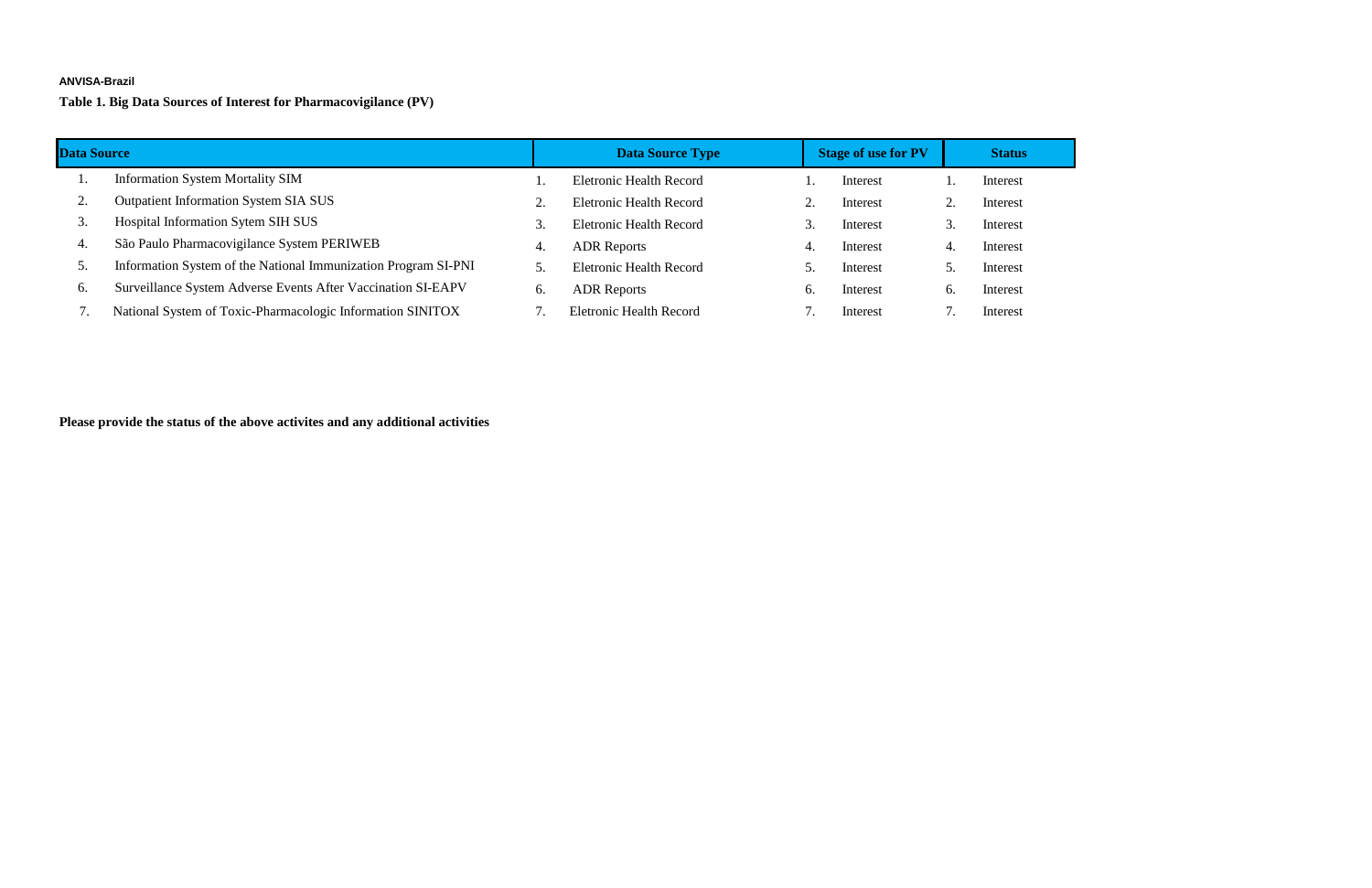### **ANVISA-Brazil**

**Table 1. Big Data Sources of Interest for Pharmacovigilance (PV)**

| <b>Data Source</b> |                                                                |    | <b>Data Source Type</b>        |    | <b>Stage of use for PV</b> |    | <b>Status</b> |
|--------------------|----------------------------------------------------------------|----|--------------------------------|----|----------------------------|----|---------------|
|                    | <b>Information System Mortality SIM</b>                        |    | <b>Eletronic Health Record</b> |    | Interest                   |    | Interest      |
| z.                 | <b>Outpatient Information System SIA SUS</b>                   | ۷. | <b>Eletronic Health Record</b> |    | Interest                   |    | Interest      |
| 3.                 | Hospital Information Sytem SIH SUS                             |    | <b>Eletronic Health Record</b> |    | Interest                   |    | Interest      |
| 4.                 | São Paulo Pharmacovigilance System PERIWEB                     | 4. | <b>ADR</b> Reports             | 4. | Interest                   | 4. | Interest      |
| $\mathcal{L}$ .    | Information System of the National Immunization Program SI-PNI |    | <b>Eletronic Health Record</b> |    | Interest                   |    | Interest      |
| 6.                 | Surveillance System Adverse Events After Vaccination SI-EAPV   | 6. | <b>ADR</b> Reports             | 6. | Interest                   | 6. | Interest      |
|                    | National System of Toxic-Pharmacologic Information SINITOX     |    | <b>Eletronic Health Record</b> |    | Interest                   |    | Interest      |

| ıtus             |  |
|------------------|--|
| est <sup>.</sup> |  |
| est <sup>.</sup> |  |
| est <sup>.</sup> |  |
| est <sup>.</sup> |  |
|                  |  |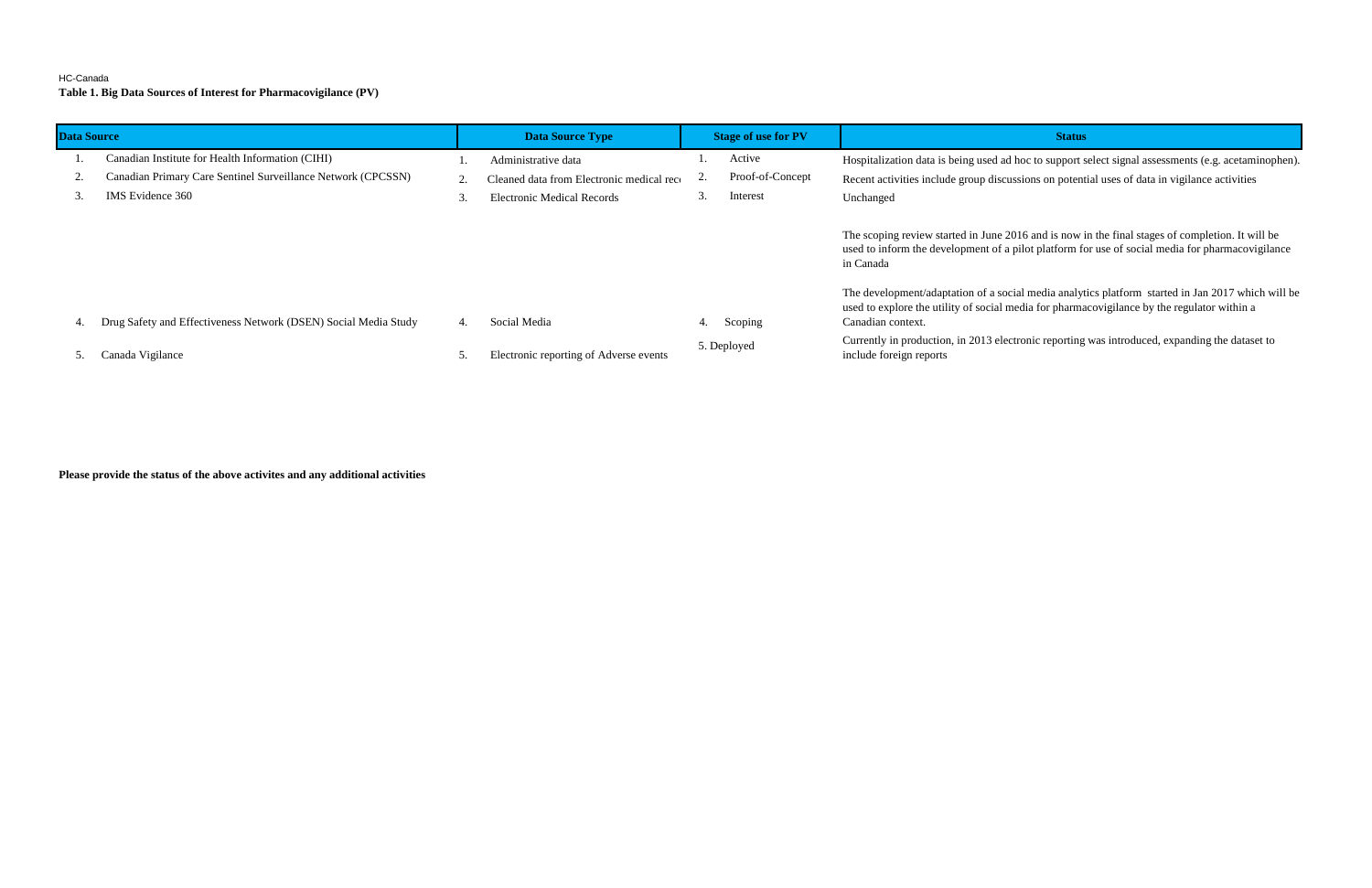### HC-Canada

**Table 1. Big Data Sources of Interest for Pharmacovigilance (PV)**

| <b>Data Source</b> |                                                                 |                 | <b>Data Source Type</b>                   |    | <b>Stage of use for PV</b> | <b>Status</b>                                                                                                                      |
|--------------------|-----------------------------------------------------------------|-----------------|-------------------------------------------|----|----------------------------|------------------------------------------------------------------------------------------------------------------------------------|
|                    | Canadian Institute for Health Information (CIHI)                |                 | Administrative data                       |    | Active                     | Hospitalization data is being used ad hoc to support s                                                                             |
| $\mathcal{L}$ .    | Canadian Primary Care Sentinel Surveillance Network (CPCSSN)    |                 | Cleaned data from Electronic medical reco | z. | Proof-of-Concept           | Recent activities include group discussions on potent                                                                              |
|                    | IMS Evidence 360                                                | $\mathfrak{I}.$ | <b>Electronic Medical Records</b>         | 3. | Interest                   | Unchanged                                                                                                                          |
|                    |                                                                 |                 |                                           |    |                            | The scoping review started in June 2016 and is now i<br>used to inform the development of a pilot platform for<br>in Canada        |
| 4.                 | Drug Safety and Effectiveness Network (DSEN) Social Media Study | 4.              | Social Media                              | 4. | Scoping                    | The development/adaptation of a social media analyt<br>used to explore the utility of social media for pharma<br>Canadian context. |
|                    | Canada Vigilance                                                |                 | Electronic reporting of Adverse events    |    | 5. Deployed                | Currently in production, in 2013 electronic reporting<br>include foreign reports                                                   |

**Please provide the status of the above activites and any additional activities**

spitalization data is being used ad hoc to support select signal assessments (e.g. acetaminophen).

2. Canadian Primary Care Sentinel Surveillance Sentinel and Electronic medical recordinations activities include group discussions on potential uses of data in vigilance activities

e scoping review started in June 2016 and is now in the final stages of completion. It will be ed to inform the development of a pilot platform for use of social media for pharmacovigilance **Canada** 

e development/adaptation of a social media analytics platform started in Jan 2017 which will be ed to explore the utility of social media for pharmacovigilance by the regulator within a nadian context.

rrently in production, in 2013 electronic reporting was introduced, expanding the dataset to lude foreign reports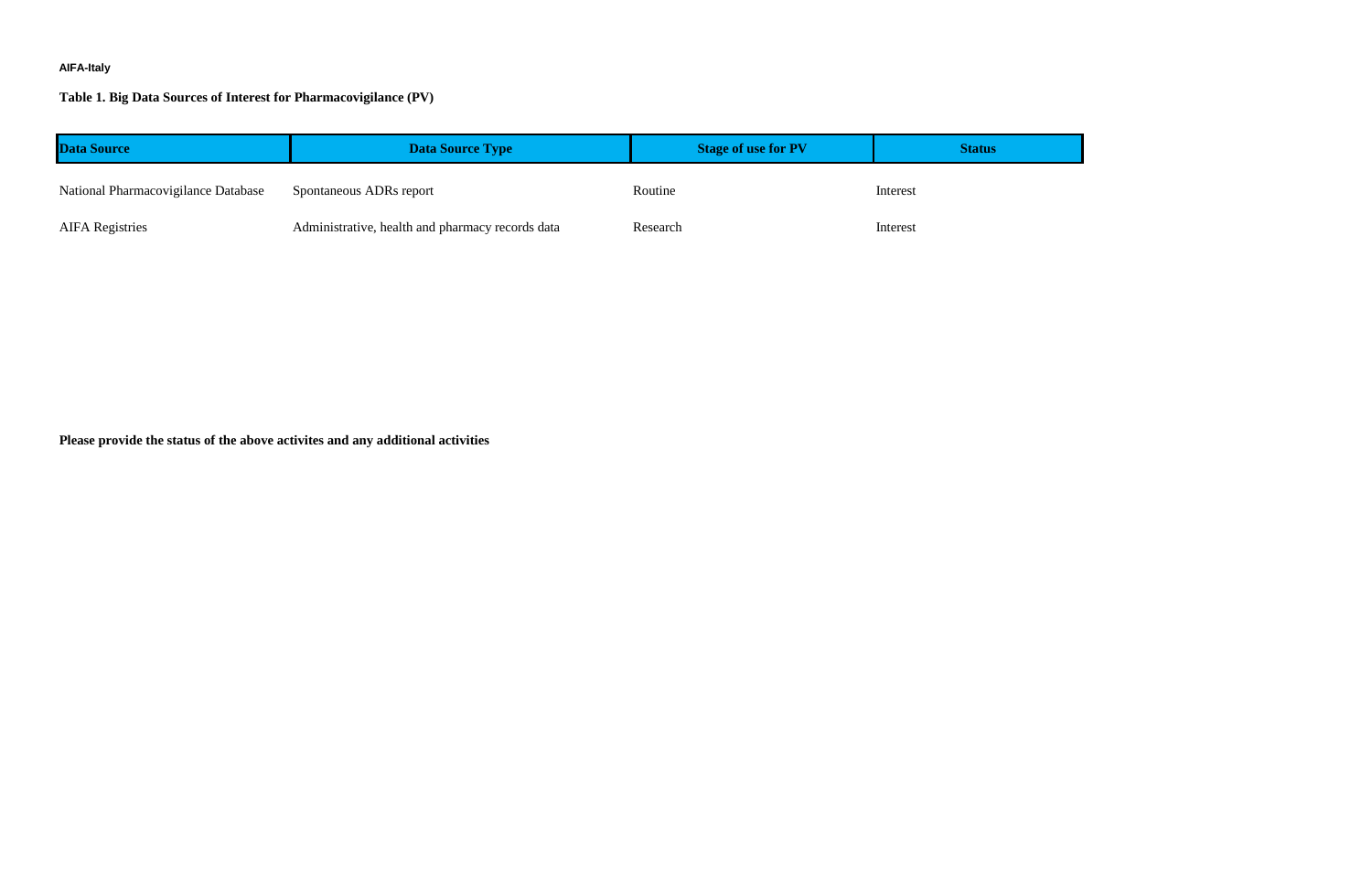# **AIFA-Italy**

## **Table 1. Big Data Sources of Interest for Pharmacovigilance (PV)**

| <b>Data Source</b>                  | <b>Data Source Type</b>                          | <b>Stage of use for PV</b> | <b>Status</b> |
|-------------------------------------|--------------------------------------------------|----------------------------|---------------|
| National Pharmacovigilance Database | Spontaneous ADRs report                          | Routine                    | Interest      |
| <b>AIFA Registries</b>              | Administrative, health and pharmacy records data | Research                   | Interest      |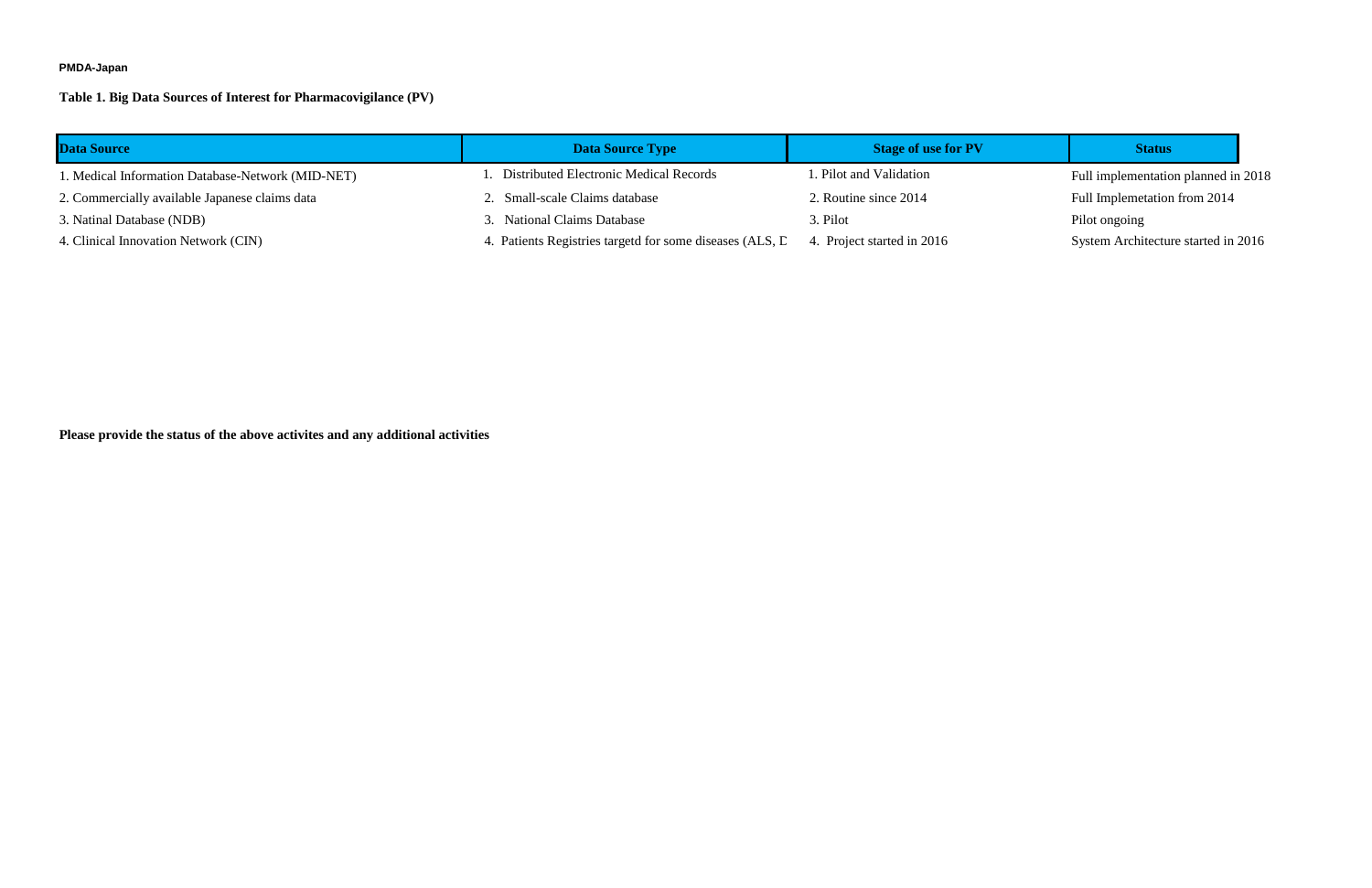#### **PMDA-Japan**

1. Medical Information Database-Network (MID-NET) 1. Distributed Electronic Medical Records 1. Pilot and Validation Full implementation planned in 2018 Full Implemetation from 2014 System Architecture started in 2016

# **Table 1. Big Data Sources of Interest for Pharmacovigilance (PV)**

| <b>Data Source</b>                                | Data Source Type                                         | <b>Stage of use for PV</b> | <b>Status</b>             |
|---------------------------------------------------|----------------------------------------------------------|----------------------------|---------------------------|
| 1. Medical Information Database-Network (MID-NET) | . Distributed Electronic Medical Records                 | I. Pilot and Validation    | Full implementation       |
| 2. Commercially available Japanese claims data    | 2. Small-scale Claims database                           | 2. Routine since 2014      | <b>Full Implemetation</b> |
| 3. Natinal Database (NDB)                         | 3. National Claims Database                              | 3. Pilot                   | Pilot ongoing             |
| 4. Clinical Innovation Network (CIN)              | 4. Patients Registries targetd for some diseases (ALS, D | 4. Project started in 2016 | System Architectu         |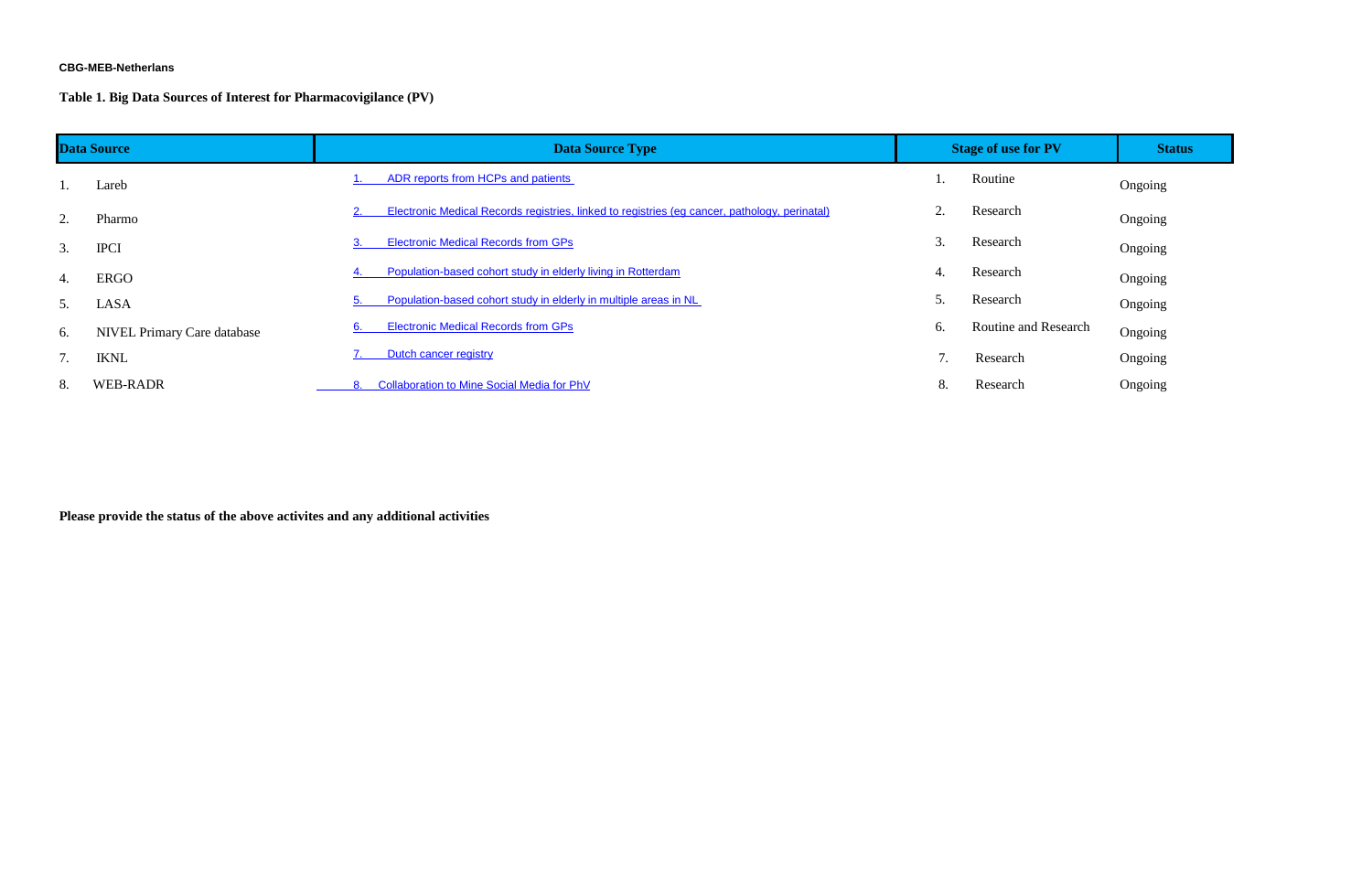#### **CBG-MEB-Netherlans**

**Table 1. Big Data Sources of Interest for Pharmacovigilance (PV)**

| <b>Data Source</b> |                                    | <b>Data Source Type</b>                                                                       |           | <b>Stage of use for PV</b> | <b>Status</b> |
|--------------------|------------------------------------|-----------------------------------------------------------------------------------------------|-----------|----------------------------|---------------|
|                    | Lareb                              | ADR reports from HCPs and patients                                                            |           | Routine                    | Ongoing       |
| 2.                 | Pharmo                             | Electronic Medical Records registries, linked to registries (eg cancer, pathology, perinatal) | $\bigcap$ | Research                   | Ongoing       |
| 3.                 | <b>IPCI</b>                        | <b>Electronic Medical Records from GPs</b>                                                    |           | Research                   | Ongoing       |
| 4.                 | <b>ERGO</b>                        | Population-based cohort study in elderly living in Rotterdam                                  | 4.        | Research                   | Ongoing       |
| 5.                 | LASA                               | Population-based cohort study in elderly in multiple areas in NL                              |           | Research                   | Ongoing       |
| 6.                 | <b>NIVEL Primary Care database</b> | <b>Electronic Medical Records from GPs</b>                                                    | 6.        | Routine and Research       | Ongoing       |
|                    | <b>IKNL</b>                        | Dutch cancer registry                                                                         |           | Research                   | Ongoing       |
| 8.                 | <b>WEB-RADR</b>                    | <b>Collaboration to Mine Social Media for PhV</b>                                             | 8.        | Research                   | Ongoing       |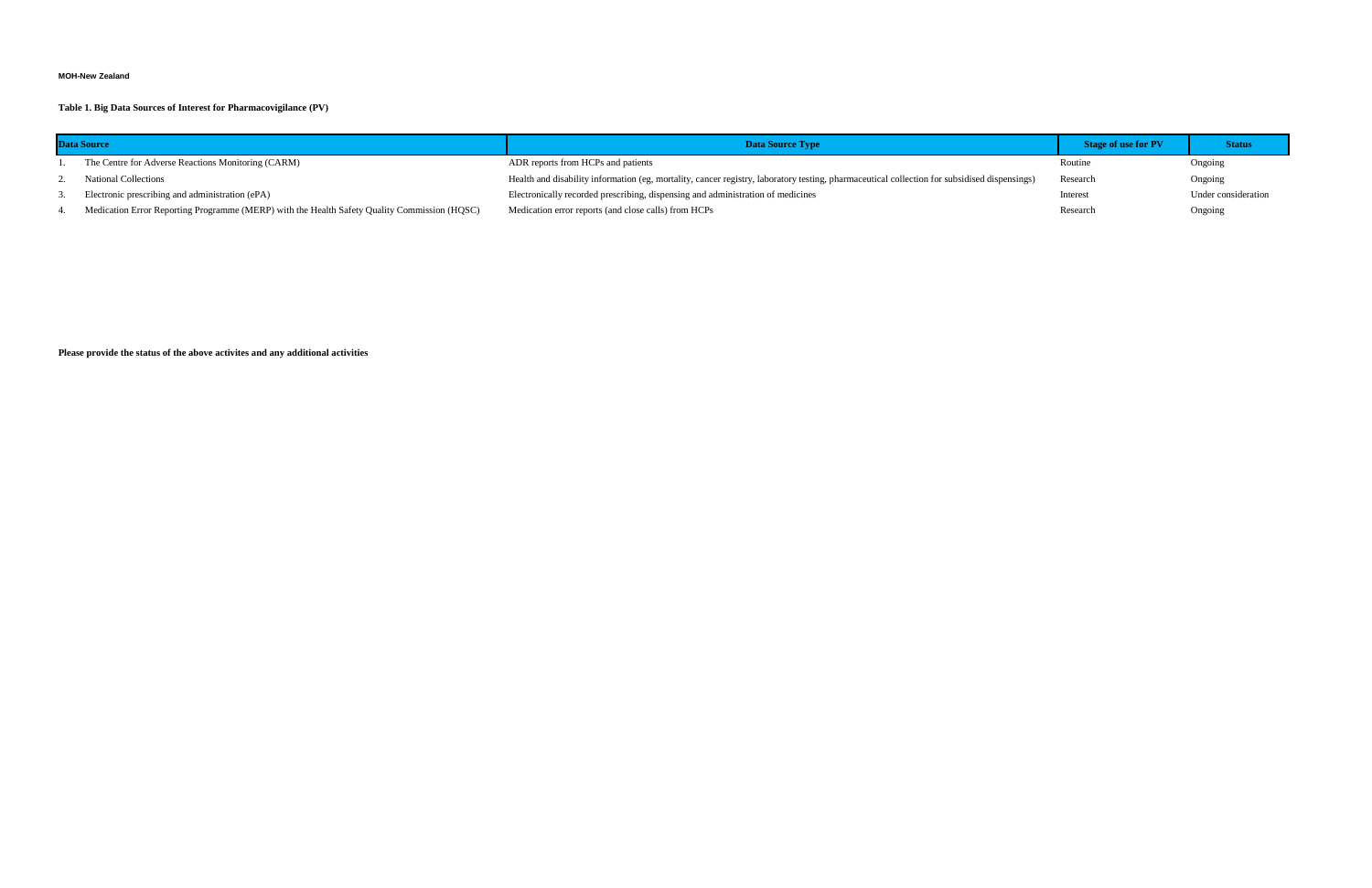### **MOH-New Zealand**

**Table 1. Big Data Sources of Interest for Pharmacovigilance (PV)**

| <b>Data Source</b>                                                                           | <b>Data Source Type</b>                                                                                                                      | <b>Stage of use for PV</b> | <b>Status</b>       |
|----------------------------------------------------------------------------------------------|----------------------------------------------------------------------------------------------------------------------------------------------|----------------------------|---------------------|
| The Centre for Adverse Reactions Monitoring (CARM)                                           | ADR reports from HCPs and patients                                                                                                           | Routine                    | Ongoing             |
| <b>National Collections</b>                                                                  | Health and disability information (eg, mortality, cancer registry, laboratory testing, pharmaceutical collection for subsidised dispensings) | Research                   | Ongoing             |
| Electronic prescribing and administration (ePA)                                              | Electronically recorded prescribing, dispensing and administration of medicines                                                              | Interest                   | Under consideration |
| Medication Error Reporting Programme (MERP) with the Health Safety Quality Commission (HQSC) | Medication error reports (and close calls) from HCPs                                                                                         | Research                   | Ongoing             |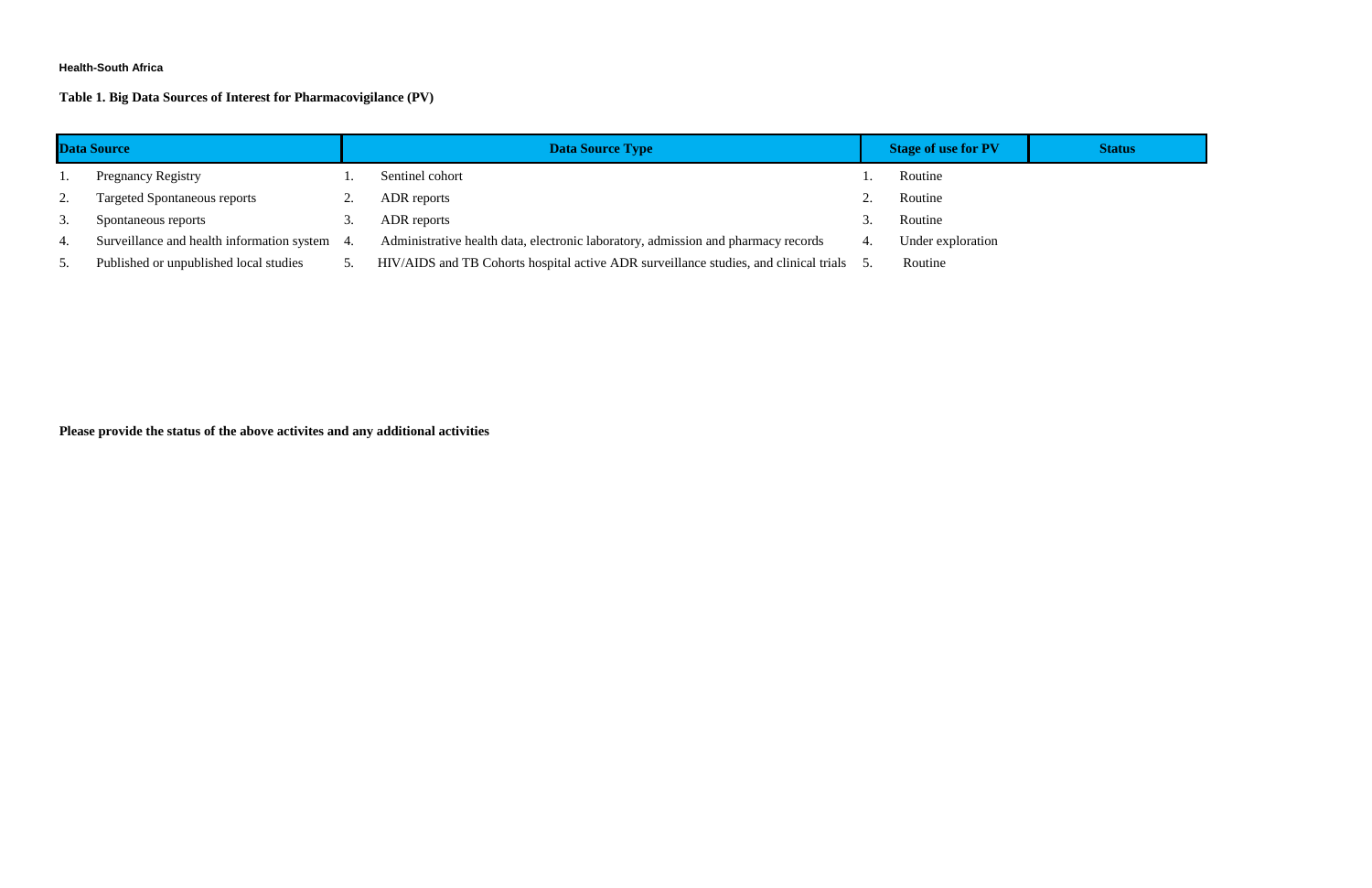### **Health-South Africa**

# **Table 1. Big Data Sources of Interest for Pharmacovigilance (PV)**

| <b>Data Source</b> |                                               | <b>Data Source Type</b>                                                               | <b>Stage of use for PV</b> | <b>Status</b> |
|--------------------|-----------------------------------------------|---------------------------------------------------------------------------------------|----------------------------|---------------|
|                    | <b>Pregnancy Registry</b>                     | Sentinel cohort                                                                       | Routine                    |               |
| 2.                 | <b>Targeted Spontaneous reports</b>           | ADR reports                                                                           | Routine                    |               |
| 3.                 | Spontaneous reports                           | ADR reports                                                                           | Routine                    |               |
| 4.                 | Surveillance and health information system 4. | Administrative health data, electronic laboratory, admission and pharmacy records     | Under exploration          |               |
| 5.                 | Published or unpublished local studies        | HIV/AIDS and TB Cohorts hospital active ADR surveillance studies, and clinical trials | Routine                    |               |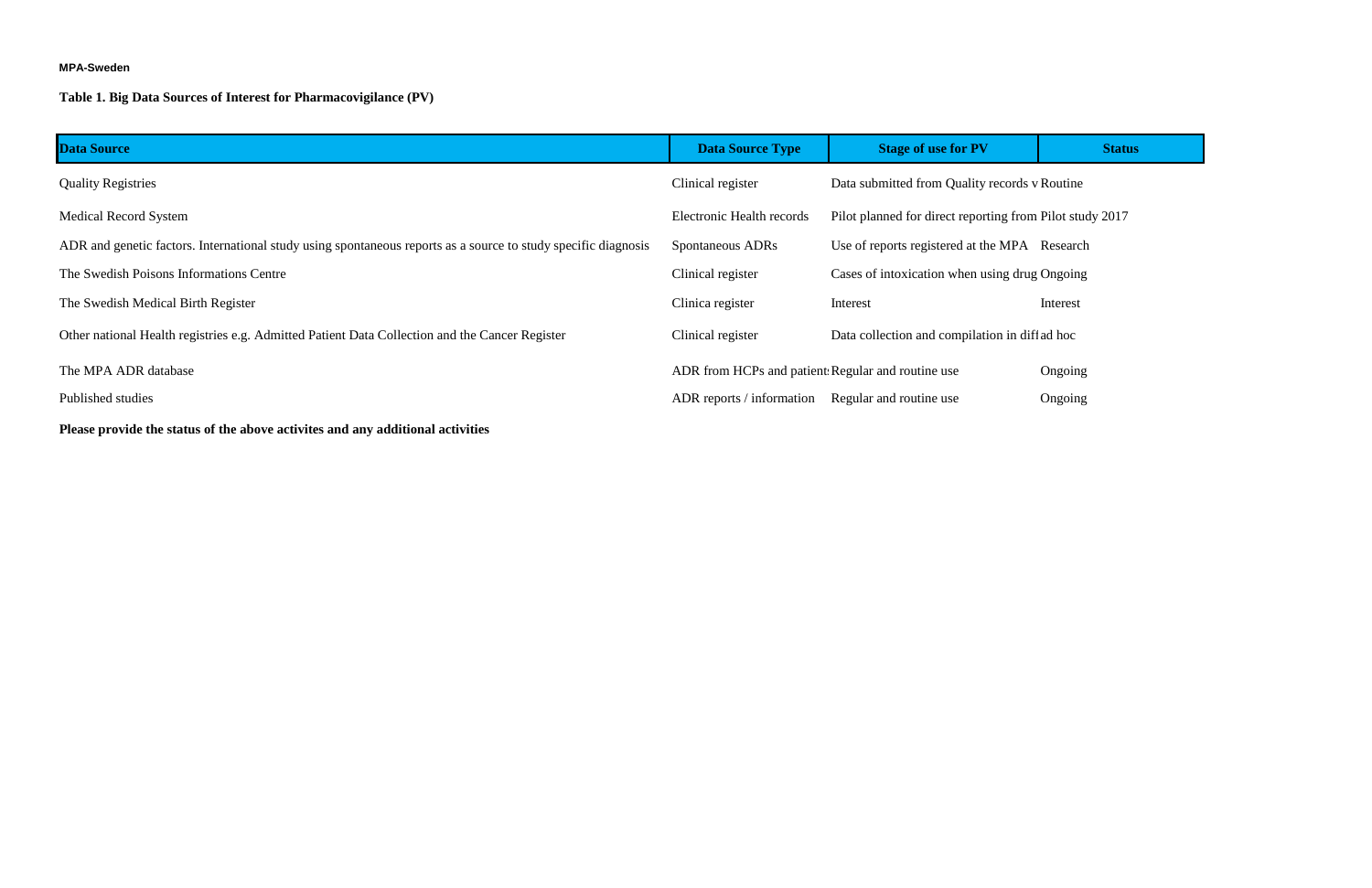#### **MPA-Sweden**

# **Table 1. Big Data Sources of Interest for Pharmacovigilance (PV)**

| Data Source                                                                                                    | <b>Data Source Type</b>                           | <b>Stage of use for PV</b>                               | <b>Status</b> |
|----------------------------------------------------------------------------------------------------------------|---------------------------------------------------|----------------------------------------------------------|---------------|
| <b>Quality Registries</b>                                                                                      | Clinical register                                 | Data submitted from Quality records v Routine            |               |
| <b>Medical Record System</b>                                                                                   | Electronic Health records                         | Pilot planned for direct reporting from Pilot study 2017 |               |
| ADR and genetic factors. International study using spontaneous reports as a source to study specific diagnosis | Spontaneous ADRs                                  | Use of reports registered at the MPA Research            |               |
| The Swedish Poisons Informations Centre                                                                        | Clinical register                                 | Cases of intoxication when using drug Ongoing            |               |
| The Swedish Medical Birth Register                                                                             | Clinica register                                  | Interest                                                 | Interest      |
| Other national Health registries e.g. Admitted Patient Data Collection and the Cancer Register                 | Clinical register                                 | Data collection and compilation in diff ad hoc           |               |
| The MPA ADR database                                                                                           | ADR from HCPs and patient Regular and routine use |                                                          | Ongoing       |
| Published studies                                                                                              | ADR reports / information                         | Regular and routine use                                  | Ongoing       |
|                                                                                                                |                                                   |                                                          |               |

**Please provide the status of the above activites and any additional activities**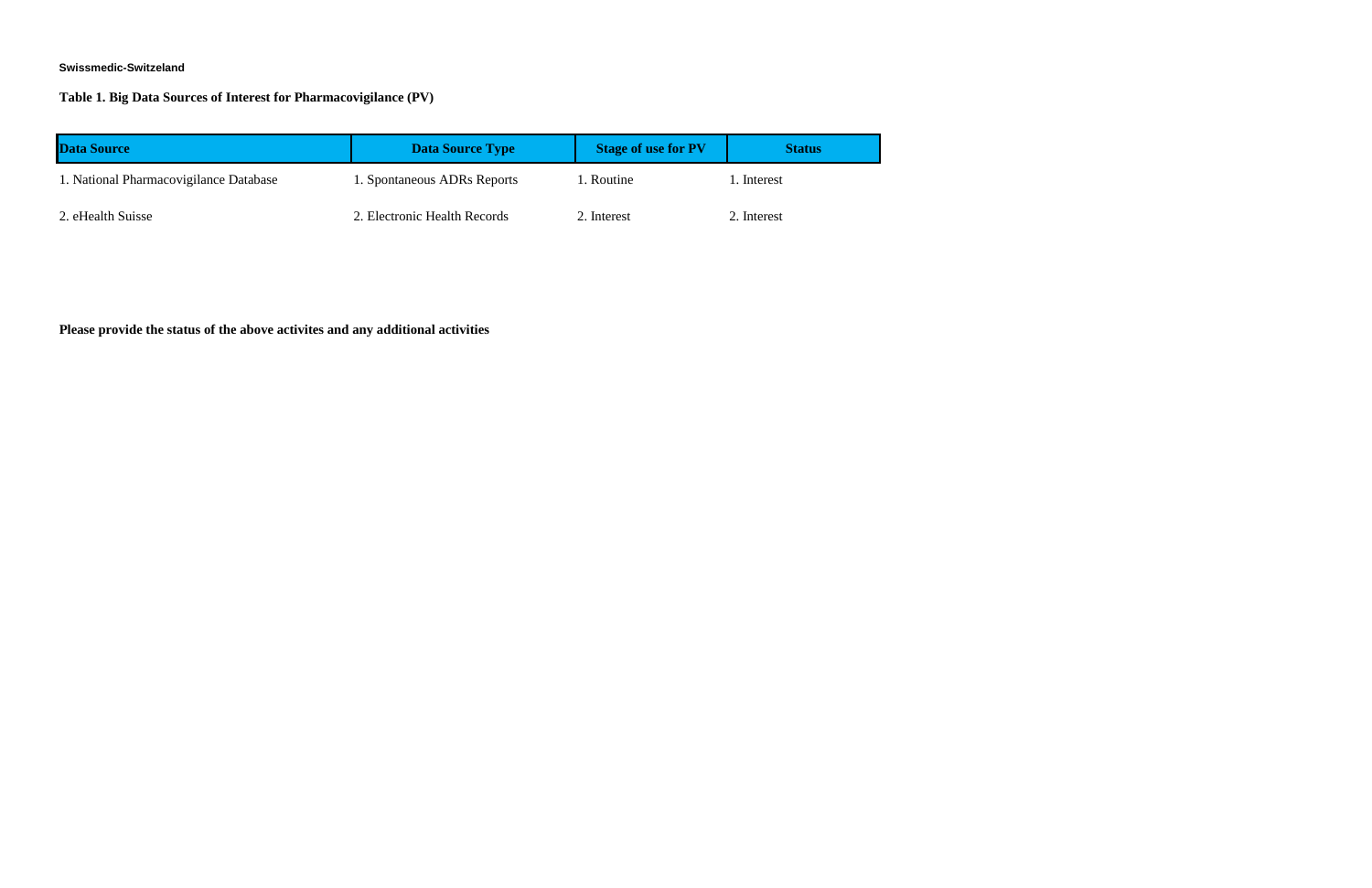### **Swissmedic-Switzeland**

**Table 1. Big Data Sources of Interest for Pharmacovigilance (PV)**

| <b>Data Source</b>                     | <b>Data Source Type</b>      | <b>Stage of use for PV</b> | <b>Status</b> |
|----------------------------------------|------------------------------|----------------------------|---------------|
| 1. National Pharmacovigilance Database | 1. Spontaneous ADRs Reports  | 1. Routine                 | l. Interest   |
| 2. eHealth Suisse                      | 2. Electronic Health Records | 2. Interest                | 2. Interest   |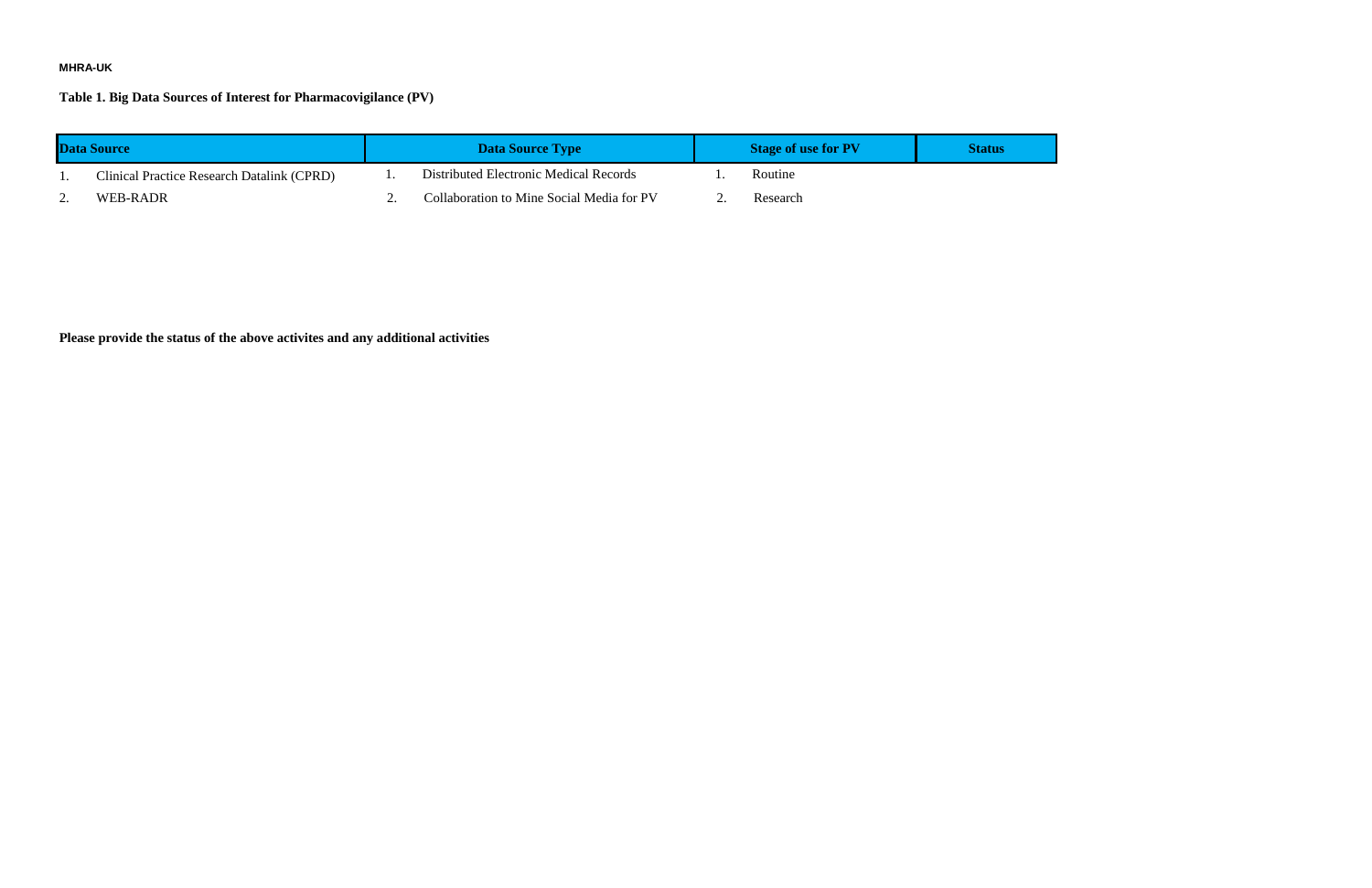# **MHRA-UK**

**Table 1. Big Data Sources of Interest for Pharmacovigilance (PV)**

| <b>Data Source</b> |                                                   | <b>Data Source Type</b> |                                           | <b>Stage of use for PV</b> | <b>Status</b> |
|--------------------|---------------------------------------------------|-------------------------|-------------------------------------------|----------------------------|---------------|
| . .                | <b>Clinical Practice Research Datalink (CPRD)</b> |                         | Distributed Electronic Medical Records    | <b>Routine</b>             |               |
| <u>.</u>           | WEB-RADR                                          |                         | Collaboration to Mine Social Media for PV | Research                   |               |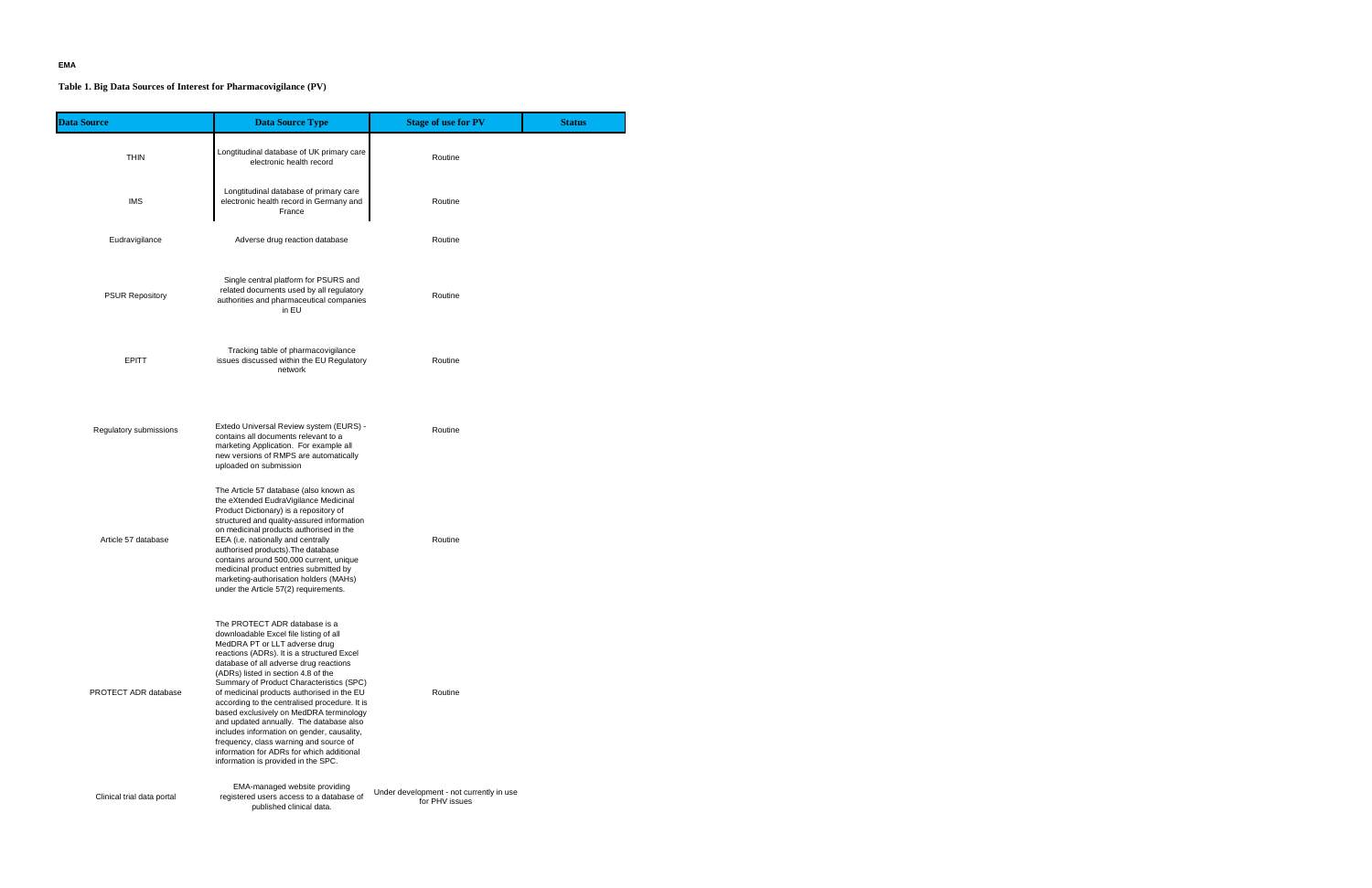# **EMA**

# **Table 1. Big Data Sources of Interest for Pharmacovigilance (PV)**

| <b>Data Source</b>         | <b>Data Source Type</b>                                                                                                                                                                                                                                                                                                                                                                                                                                                                                                                                                                                                                              | <b>Stage of use for PV</b>                                 | <b>Status</b> |
|----------------------------|------------------------------------------------------------------------------------------------------------------------------------------------------------------------------------------------------------------------------------------------------------------------------------------------------------------------------------------------------------------------------------------------------------------------------------------------------------------------------------------------------------------------------------------------------------------------------------------------------------------------------------------------------|------------------------------------------------------------|---------------|
| <b>THIN</b>                | Longtitudinal database of UK primary care<br>electronic health record                                                                                                                                                                                                                                                                                                                                                                                                                                                                                                                                                                                | Routine                                                    |               |
| <b>IMS</b>                 | Longtitudinal database of primary care<br>electronic health record in Germany and<br>France                                                                                                                                                                                                                                                                                                                                                                                                                                                                                                                                                          | Routine                                                    |               |
| Eudravigilance             | Adverse drug reaction database                                                                                                                                                                                                                                                                                                                                                                                                                                                                                                                                                                                                                       | Routine                                                    |               |
| <b>PSUR Repository</b>     | Single central platform for PSURS and<br>related documents used by all regulatory<br>authorities and pharmaceutical companies<br>in EU                                                                                                                                                                                                                                                                                                                                                                                                                                                                                                               | Routine                                                    |               |
| <b>EPITT</b>               | Tracking table of pharmacovigilance<br>issues discussed within the EU Regulatory<br>network                                                                                                                                                                                                                                                                                                                                                                                                                                                                                                                                                          | Routine                                                    |               |
| Regulatory submissions     | Extedo Universal Review system (EURS) -<br>contains all documents relevant to a<br>marketing Application. For example all<br>new versions of RMPS are automatically<br>uploaded on submission                                                                                                                                                                                                                                                                                                                                                                                                                                                        | Routine                                                    |               |
| Article 57 database        | The Article 57 database (also known as<br>the eXtended EudraVigilance Medicinal<br>Product Dictionary) is a repository of<br>structured and quality-assured information<br>on medicinal products authorised in the<br>EEA (i.e. nationally and centrally<br>authorised products). The database<br>contains around 500,000 current, unique<br>medicinal product entries submitted by<br>marketing-authorisation holders (MAHs)<br>under the Article 57(2) requirements.                                                                                                                                                                               | Routine                                                    |               |
| PROTECT ADR database       | The PROTECT ADR database is a<br>downloadable Excel file listing of all<br>MedDRA PT or LLT adverse drug<br>reactions (ADRs). It is a structured Excel<br>database of all adverse drug reactions<br>(ADRs) listed in section 4.8 of the<br>Summary of Product Characteristics (SPC)<br>of medicinal products authorised in the EU<br>according to the centralised procedure. It is<br>based exclusively on MedDRA terminology<br>and updated annually. The database also<br>includes information on gender, causality,<br>frequency, class warning and source of<br>information for ADRs for which additional<br>information is provided in the SPC. | Routine                                                    |               |
| Clinical trial data portal | EMA-managed website providing<br>registered users access to a database of<br>published clinical data.                                                                                                                                                                                                                                                                                                                                                                                                                                                                                                                                                | Under development - not currently in use<br>for PHV issues |               |